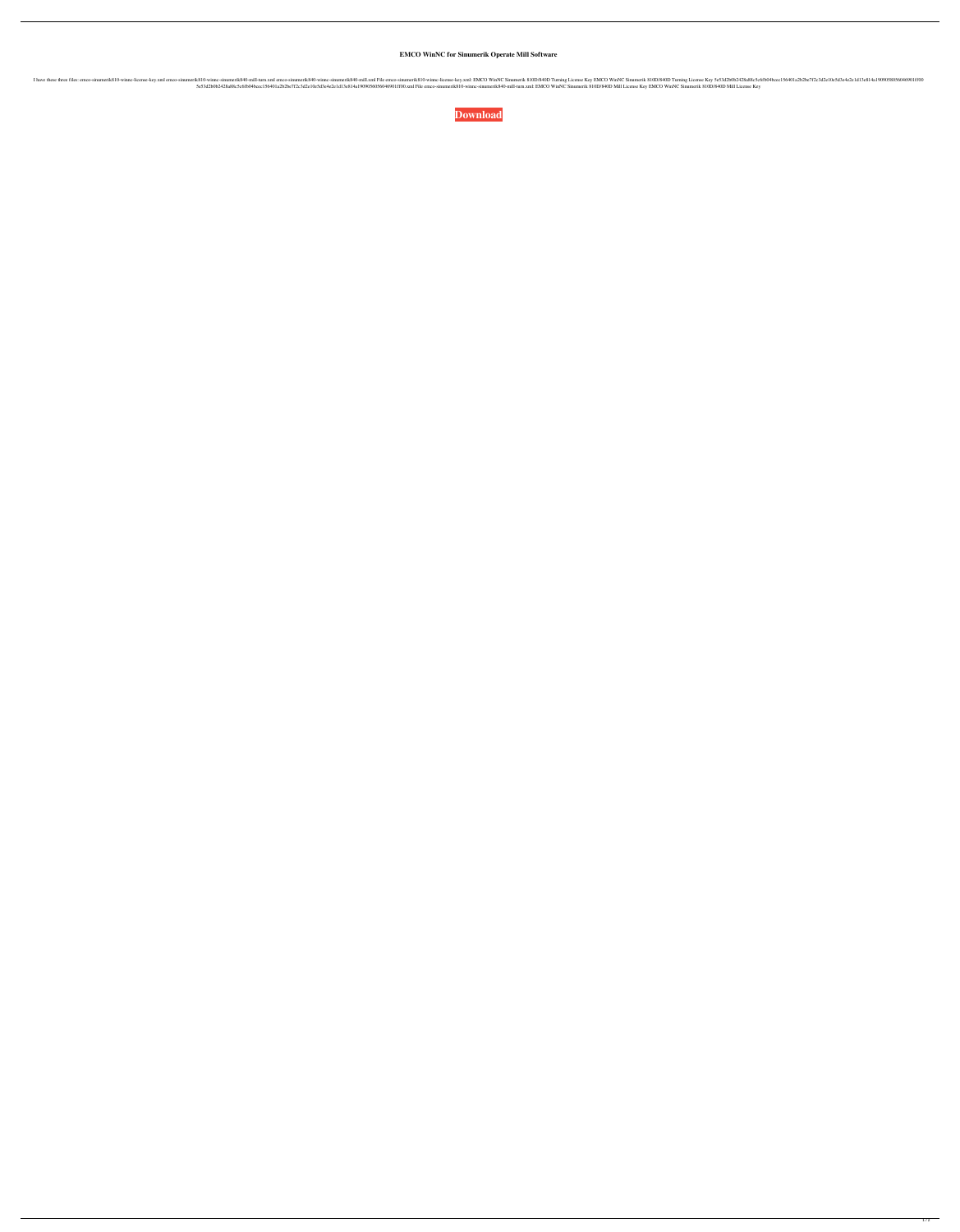**EMCO WinNC for Sinumerik Operate Mill Software**

EMCO WinNC Sinumerik840-mill.xml emco-sinumerik840-mill.xml File emco-sinumerik810-winnc-license Key z.ml emco-sinumerik840-mill.xml File emco-sinumerik840-mill.xml File emco-sinumerik810D/840D Turning License Key EMCO Win 5e53d2b0b2428a88c5c6fb04bcec156401a2b2be7f2c3d2e10e5d3e4e2e1d13e814a1909056056046901ff00.xml File emco-sinumerik810-winnc-sinumerik840-mill-turn.xml: EMCO WinNC Sinumerik 810D/840D Mill License Key EMCO WinNC Sinumerik 810